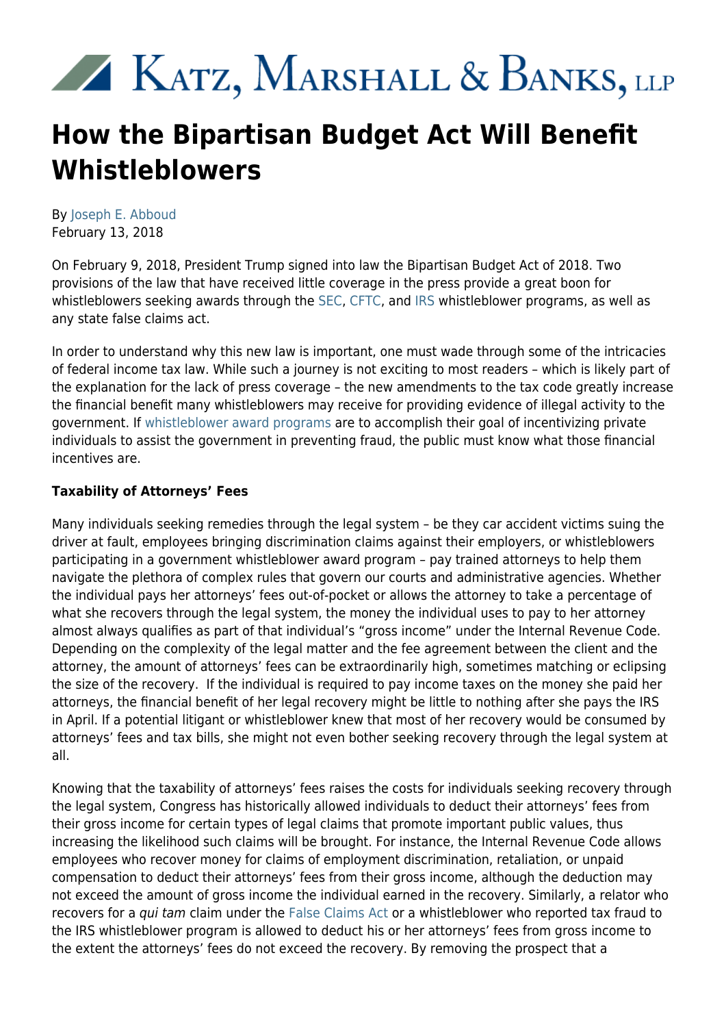# XX KATZ, MARSHALL & BANKS, LLP

## **How the Bipartisan Budget Act Will Benefit Whistleblowers**

By [Joseph E. Abboud](https://www.kmblegal.com/attorneys-and-staff/joseph-abboud) February 13, 2018

On February 9, 2018, President Trump signed into law the Bipartisan Budget Act of 2018. Two provisions of the law that have received little coverage in the press provide a great boon for whistleblowers seeking awards through the [SEC,](https://www.kmblegal.com/practice-areas/sec-whistleblower-law) [CFTC](https://www.kmblegal.com/practice-areas/whistleblower-law/cftc-whistleblower-incentives), and [IRS](https://www.kmblegal.com/resources/irs-whistleblower) whistleblower programs, as well as any state false claims act.

In order to understand why this new law is important, one must wade through some of the intricacies of federal income tax law. While such a journey is not exciting to most readers – which is likely part of the explanation for the lack of press coverage – the new amendments to the tax code greatly increase the financial benefit many whistleblowers may receive for providing evidence of illegal activity to the government. If [whistleblower award programs](http://www.kmblegal.com/practice-areas/whistleblower-law) are to accomplish their goal of incentivizing private individuals to assist the government in preventing fraud, the public must know what those financial incentives are.

#### **Taxability of Attorneys' Fees**

Many individuals seeking remedies through the legal system – be they car accident victims suing the driver at fault, employees bringing discrimination claims against their employers, or whistleblowers participating in a government whistleblower award program – pay trained attorneys to help them navigate the plethora of complex rules that govern our courts and administrative agencies. Whether the individual pays her attorneys' fees out-of-pocket or allows the attorney to take a percentage of what she recovers through the legal system, the money the individual uses to pay to her attorney almost always qualifies as part of that individual's "gross income" under the Internal Revenue Code. Depending on the complexity of the legal matter and the fee agreement between the client and the attorney, the amount of attorneys' fees can be extraordinarily high, sometimes matching or eclipsing the size of the recovery. If the individual is required to pay income taxes on the money she paid her attorneys, the financial benefit of her legal recovery might be little to nothing after she pays the IRS in April. If a potential litigant or whistleblower knew that most of her recovery would be consumed by attorneys' fees and tax bills, she might not even bother seeking recovery through the legal system at all.

Knowing that the taxability of attorneys' fees raises the costs for individuals seeking recovery through the legal system, Congress has historically allowed individuals to deduct their attorneys' fees from their gross income for certain types of legal claims that promote important public values, thus increasing the likelihood such claims will be brought. For instance, the Internal Revenue Code allows employees who recover money for claims of employment discrimination, retaliation, or unpaid compensation to deduct their attorneys' fees from their gross income, although the deduction may not exceed the amount of gross income the individual earned in the recovery. Similarly, a relator who recovers for a qui tam claim under the [False Claims Act](https://www.kmblegal.com/practice-areas/whistleblower-law/qui-tam-whistleblower-incentives) or a whistleblower who reported tax fraud to the IRS whistleblower program is allowed to deduct his or her attorneys' fees from gross income to the extent the attorneys' fees do not exceed the recovery. By removing the prospect that a